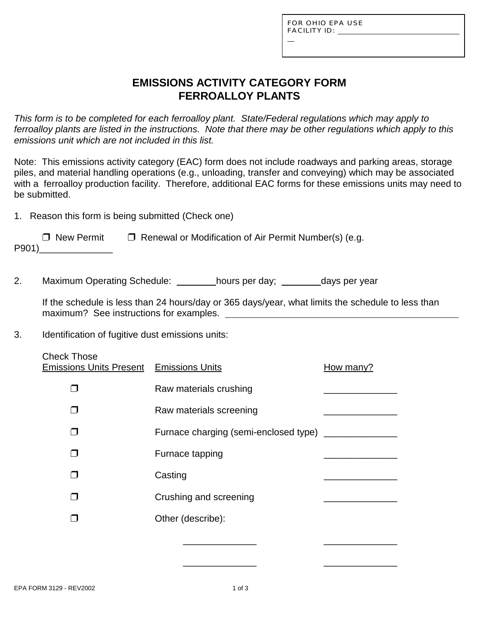L

# **EMISSIONS ACTIVITY CATEGORY FORM FERROALLOY PLANTS**

*This form is to be completed for each ferroalloy plant. State/Federal regulations which may apply to ferroalloy plants are listed in the instructions. Note that there may be other regulations which apply to this emissions unit which are not included in this list.*

Note: This emissions activity category (EAC) form does not include roadways and parking areas, storage piles, and material handling operations (e.g., unloading, transfer and conveying) which may be associated with a ferroalloy production facility. Therefore, additional EAC forms for these emissions units may need to be submitted.

1. Reason this form is being submitted (Check one)

| $\Box$ New Permit | $\Box$ Renewal or Modification of Air Permit Number(s) (e.g. |
|-------------------|--------------------------------------------------------------|
| P901)             |                                                              |

2. Maximum Operating Schedule: hours per day; days per year

If the schedule is less than 24 hours/day or 365 days/year, what limits the schedule to less than maximum? See instructions for examples.

- 3. Identification of fugitive dust emissions units:
	- Check Those Emissions Units Present Emissions Units **How many?**  $\Box$  Raw materials crushing  $\Box$  Raw materials screening  $\Box$  Furnace charging (semi-enclosed type)  $\Box$  Furnace tapping  $\Box$  Casting  $\Box$ " Crushing and screening \_\_\_\_\_\_\_\_\_\_\_\_\_\_ D Other (describe): \_\_\_\_\_\_\_\_\_\_\_\_\_\_ \_\_\_\_\_\_\_\_\_\_\_\_\_\_

\_\_\_\_\_\_\_\_\_\_\_\_\_\_ \_\_\_\_\_\_\_\_\_\_\_\_\_\_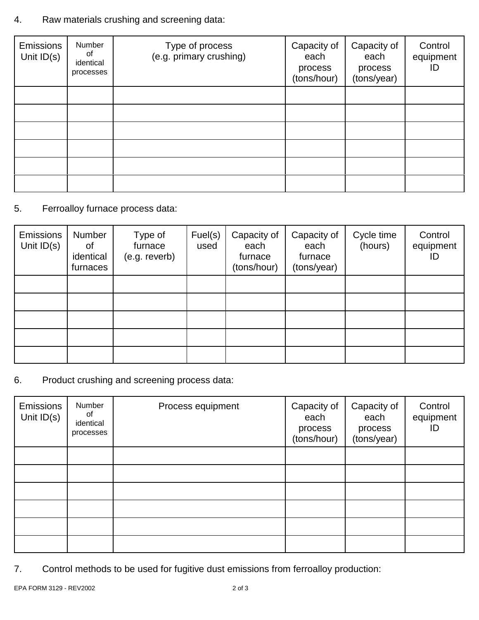# 4. Raw materials crushing and screening data:

| <b>Emissions</b><br>Unit $ID(s)$ | Number<br>of<br>identical<br>processes | Type of process<br>(e.g. primary crushing) | Capacity of<br>each<br>process<br>(tons/hour) | Capacity of<br>each<br>process<br>(tons/year) | Control<br>equipment<br>ID |
|----------------------------------|----------------------------------------|--------------------------------------------|-----------------------------------------------|-----------------------------------------------|----------------------------|
|                                  |                                        |                                            |                                               |                                               |                            |
|                                  |                                        |                                            |                                               |                                               |                            |
|                                  |                                        |                                            |                                               |                                               |                            |
|                                  |                                        |                                            |                                               |                                               |                            |
|                                  |                                        |                                            |                                               |                                               |                            |
|                                  |                                        |                                            |                                               |                                               |                            |

# 5. Ferroalloy furnace process data:

| Emissions<br>Unit $ID(s)$ | Number<br>οf<br>identical<br>furnaces | Type of<br>furnace<br>(e.g. reverb) | Fuel(s)<br>used | Capacity of<br>each<br>furnace<br>(tons/hour) | Capacity of<br>each<br>furnace<br>(tons/year) | Cycle time<br>(hours) | Control<br>equipment<br>ID |
|---------------------------|---------------------------------------|-------------------------------------|-----------------|-----------------------------------------------|-----------------------------------------------|-----------------------|----------------------------|
|                           |                                       |                                     |                 |                                               |                                               |                       |                            |
|                           |                                       |                                     |                 |                                               |                                               |                       |                            |
|                           |                                       |                                     |                 |                                               |                                               |                       |                            |
|                           |                                       |                                     |                 |                                               |                                               |                       |                            |
|                           |                                       |                                     |                 |                                               |                                               |                       |                            |

6. Product crushing and screening process data:

| Emissions<br>Unit $ID(s)$ | Number<br>0f<br>identical<br>processes | Process equipment | Capacity of<br>each<br>process<br>(tons/hour) | Capacity of<br>each<br>process<br>(tons/year) | Control<br>equipment<br>ID |
|---------------------------|----------------------------------------|-------------------|-----------------------------------------------|-----------------------------------------------|----------------------------|
|                           |                                        |                   |                                               |                                               |                            |
|                           |                                        |                   |                                               |                                               |                            |
|                           |                                        |                   |                                               |                                               |                            |
|                           |                                        |                   |                                               |                                               |                            |
|                           |                                        |                   |                                               |                                               |                            |
|                           |                                        |                   |                                               |                                               |                            |

7. Control methods to be used for fugitive dust emissions from ferroalloy production: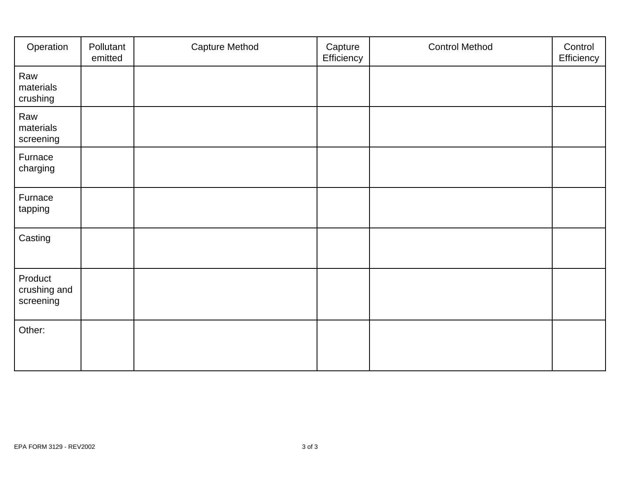| Operation                            | Pollutant<br>emitted | <b>Capture Method</b> | Capture<br>Efficiency | <b>Control Method</b> | Control<br>Efficiency |
|--------------------------------------|----------------------|-----------------------|-----------------------|-----------------------|-----------------------|
| Raw<br>materials<br>crushing         |                      |                       |                       |                       |                       |
| Raw<br>materials<br>screening        |                      |                       |                       |                       |                       |
| Furnace<br>charging                  |                      |                       |                       |                       |                       |
| Furnace<br>tapping                   |                      |                       |                       |                       |                       |
| Casting                              |                      |                       |                       |                       |                       |
| Product<br>crushing and<br>screening |                      |                       |                       |                       |                       |
| Other:                               |                      |                       |                       |                       |                       |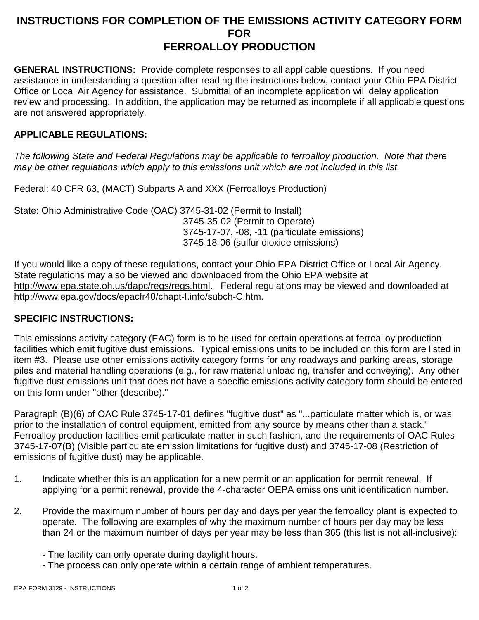## **INSTRUCTIONS FOR COMPLETION OF THE EMISSIONS ACTIVITY CATEGORY FORM FOR FERROALLOY PRODUCTION**

**GENERAL INSTRUCTIONS:** Provide complete responses to all applicable questions. If you need assistance in understanding a question after reading the instructions below, contact your Ohio EPA District Office or Local Air Agency for assistance. Submittal of an incomplete application will delay application review and processing. In addition, the application may be returned as incomplete if all applicable questions are not answered appropriately.

### **APPLICABLE REGULATIONS:**

*The following State and Federal Regulations may be applicable to ferroalloy production. Note that there may be other regulations which apply to this emissions unit which are not included in this list.*

Federal: 40 CFR 63, (MACT) Subparts A and XXX (Ferroalloys Production)

State: Ohio Administrative Code (OAC) 3745-31-02 (Permit to Install) 3745-35-02 (Permit to Operate) 3745-17-07, -08, -11 (particulate emissions) 3745-18-06 (sulfur dioxide emissions)

If you would like a copy of these regulations, contact your Ohio EPA District Office or Local Air Agency. State regulations may also be viewed and downloaded from the Ohio EPA website at http://www.epa.state.oh.us/dapc/regs/regs.html. Federal regulations may be viewed and downloaded at http://www.epa.gov/docs/epacfr40/chapt-I.info/subch-C.htm.

#### **SPECIFIC INSTRUCTIONS:**

This emissions activity category (EAC) form is to be used for certain operations at ferroalloy production facilities which emit fugitive dust emissions. Typical emissions units to be included on this form are listed in item #3. Please use other emissions activity category forms for any roadways and parking areas, storage piles and material handling operations (e.g., for raw material unloading, transfer and conveying). Any other fugitive dust emissions unit that does not have a specific emissions activity category form should be entered on this form under "other (describe)."

Paragraph (B)(6) of OAC Rule 3745-17-01 defines "fugitive dust" as "...particulate matter which is, or was prior to the installation of control equipment, emitted from any source by means other than a stack." Ferroalloy production facilities emit particulate matter in such fashion, and the requirements of OAC Rules 3745-17-07(B) (Visible particulate emission limitations for fugitive dust) and 3745-17-08 (Restriction of emissions of fugitive dust) may be applicable.

- 1. Indicate whether this is an application for a new permit or an application for permit renewal. If applying for a permit renewal, provide the 4-character OEPA emissions unit identification number.
- 2. Provide the maximum number of hours per day and days per year the ferroalloy plant is expected to operate. The following are examples of why the maximum number of hours per day may be less than 24 or the maximum number of days per year may be less than 365 (this list is not all-inclusive):
	- The facility can only operate during daylight hours.
	- The process can only operate within a certain range of ambient temperatures.